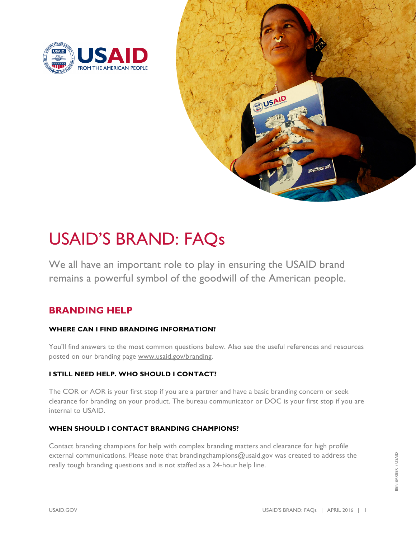



# USAID'S BRAND: FAQs

We all have an important role to play in ensuring the USAID brand remains a powerful symbol of the goodwill of the American people.

# **BRANDING HELP**

## **WHERE CAN I FIND BRANDING INFORMATION?**

You'll find answers to the most common questions below. Also see the useful references and resources posted on our branding page www.usaid.gov/branding.

## **I STILL NEED HELP. WHO SHOULD I CONTACT?**

The COR or AOR is your first stop if you are a partner and have a basic branding concern or seek clearance for branding on your product. The bureau communicator or DOC is your first stop if you are internal to USAID.

## **WHEN SHOULD I CONTACT BRANDING CHAMPIONS?**

Contact branding champions for help with complex branding matters and clearance for high profile external communications. Please note that [brandingchampions@usaid.gov](mailto:brandingchampions@usaid.gov) was created to address the really tough branding questions and is not staffed as a 24-hour help line.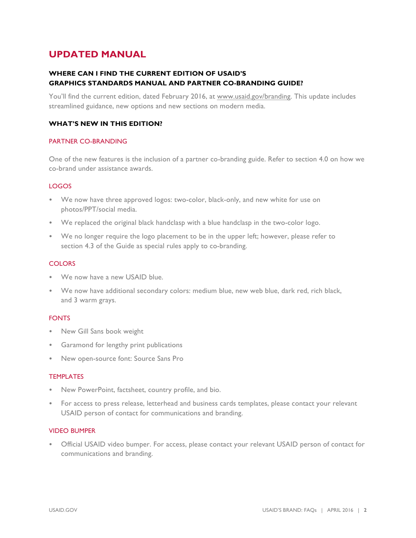# **UPDATED MANUAL**

## **WHERE CAN I FIND THE CURRENT EDITION OF USAID'S GRAPHICS STANDARDS MANUAL AND PARTNER CO-BRANDING GUIDE?**

You'll find the current edition, dated February 2016, at www.usaid.gov/branding. This update includes streamlined guidance, new options and new sections on modern media.

#### **WHAT'S NEW IN THIS EDITION?**

#### PARTNER CO-BRANDING

One of the new features is the inclusion of a partner co-branding guide. Refer to section 4.0 on how we co-brand under assistance awards.

#### LOGOS

- We now have three approved logos: two-color, black-only, and new white for use on photos/PPT/social media.
- We replaced the original black handclasp with a blue handclasp in the two-color logo.
- We no longer require the logo placement to be in the upper left; however, please refer to section 4.3 of the Guide as special rules apply to co-branding.

#### **COLORS**

- We now have a new USAID blue.
- We now have additional secondary colors: medium blue, new web blue, dark red, rich black, and 3 warm grays.

#### FONTS

- New Gill Sans book weight
- Garamond for lengthy print publications
- New open-source font: Source Sans Pro

#### TEMPLATES

- New PowerPoint, factsheet, country profile, and bio.
- For access to press release, letterhead and business cards templates, please contact your relevant USAID person of contact for communications and branding.

#### VIDEO BUMPER

• Official USAID video bumper. For access, please contact your relevant USAID person of contact for communications and branding.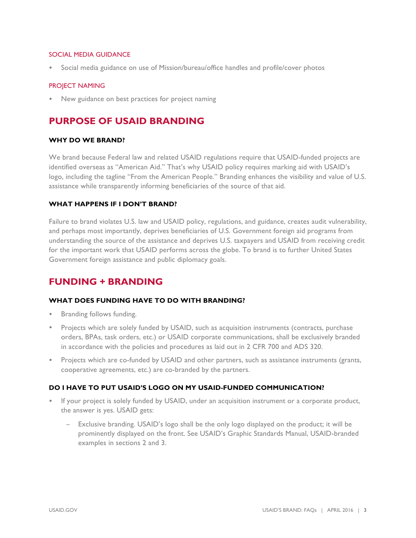#### SOCIAL MEDIA GUIDANCE

• Social media guidance on use of Mission/bureau/office handles and profile/cover photos

#### PROJECT NAMING

• New guidance on best practices for project naming

# **PURPOSE OF USAID BRANDING**

#### **WHY DO WE BRAND?**

We brand because Federal law and related USAID regulations require that USAID-funded projects are identified overseas as "American Aid." That's why USAID policy requires marking aid with USAID's logo, including the tagline "From the American People." Branding enhances the visibility and value of U.S. assistance while transparently informing beneficiaries of the source of that aid.

#### **WHAT HAPPENS IF I DON'T BRAND?**

Failure to brand violates U.S. law and USAID policy, regulations, and guidance, creates audit vulnerability, and perhaps most importantly, deprives beneficiaries of U.S. Government foreign aid programs from understanding the source of the assistance and deprives U.S. taxpayers and USAID from receiving credit for the important work that USAID performs across the globe. To brand is to further United States Government foreign assistance and public diplomacy goals.

# **FUNDING + BRANDING**

#### **WHAT DOES FUNDING HAVE TO DO WITH BRANDING?**

- Branding follows funding.
- Projects which are solely funded by USAID, such as acquisition instruments (contracts, purchase orders, BPAs, task orders, etc.) or USAID corporate communications, shall be exclusively branded in accordance with the policies and procedures as laid out in 2 CFR 700 and ADS 320.
- Projects which are co-funded by USAID and other partners, such as assistance instruments (grants, cooperative agreements, etc.) are co-branded by the partners.

#### **DO I HAVE TO PUT USAID'S LOGO ON MY USAID-FUNDED COMMUNICATION?**

- If your project is solely funded by USAID, under an acquisition instrument or a corporate product, the answer is yes. USAID gets:
	- − Exclusive branding. USAID's logo shall be the only logo displayed on the product; it will be prominently displayed on the front. See USAID's Graphic Standards Manual, USAID-branded examples in sections 2 and 3.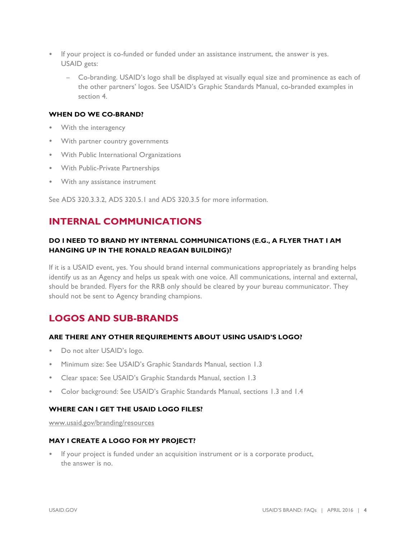- If your project is co-funded or funded under an assistance instrument, the answer is yes. USAID gets:
	- − Co-branding. USAID's logo shall be displayed at visually equal size and prominence as each of the other partners' logos. See USAID's Graphic Standards Manual, co-branded examples in section 4.

#### **WHEN DO WE CO-BRAND?**

- With the interagency
- With partner country governments
- With Public International Organizations
- With Public-Private Partnerships
- With any assistance instrument

See ADS 320.3.3.2, ADS 320.5.1 and ADS 320.3.5 for more information.

# **INTERNAL COMMUNICATIONS**

## **DO I NEED TO BRAND MY INTERNAL COMMUNICATIONS (E.G., A FLYER THAT I AM HANGING UP IN THE RONALD REAGAN BUILDING)?**

If it is a USAID event, yes. You should brand internal communications appropriately as branding helps identify us as an Agency and helps us speak with one voice. All communications, internal and external, should be branded. Flyers for the RRB only should be cleared by your bureau communicator. They should not be sent to Agency branding champions.

# **LOGOS AND SUB-BRANDS**

#### **ARE THERE ANY OTHER REQUIREMENTS ABOUT USING USAID'S LOGO?**

- Do not alter USAID's logo.
- Minimum size: See USAID's Graphic Standards Manual, section 1.3
- Clear space: See USAID's Graphic Standards Manual, section 1.3
- Color background: See USAID's Graphic Standards Manual, sections 1.3 and 1.4

#### **WHERE CAN I GET THE USAID LOGO FILES?**

www.usaid.gov/branding/resources

#### **MAY I CREATE A LOGO FOR MY PROJECT?**

If your project is funded under an acquisition instrument or is a corporate product, the answer is no.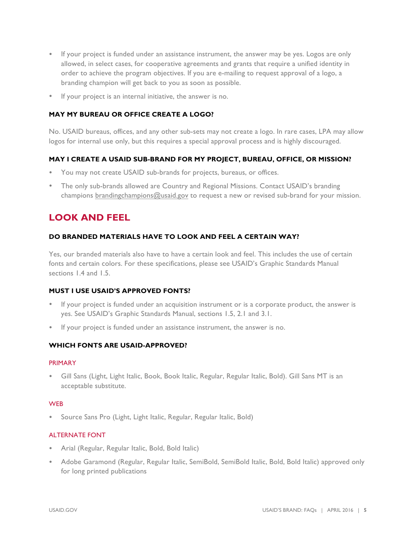- If your project is funded under an assistance instrument, the answer may be yes. Logos are only allowed, in select cases, for cooperative agreements and grants that require a unified identity in order to achieve the program objectives. If you are e-mailing to request approval of a logo, a branding champion will get back to you as soon as possible.
- If your project is an internal initiative, the answer is no.

#### **MAY MY BUREAU OR OFFICE CREATE A LOGO?**

No. USAID bureaus, offices, and any other sub-sets may not create a logo. In rare cases, LPA may allow logos for internal use only, but this requires a special approval process and is highly discouraged.

### **MAY I CREATE A USAID SUB-BRAND FOR MY PROJECT, BUREAU, OFFICE, OR MISSION?**

- You may not create USAID sub-brands for projects, bureaus, or offices.
- The only sub-brands allowed are Country and Regional Missions. Contact USAID's branding champions brandingchampions@usaid.gov to request a new or revised sub-brand for your mission.

# **LOOK AND FEEL**

#### **DO BRANDED MATERIALS HAVE TO LOOK AND FEEL A CERTAIN WAY?**

Yes, our branded materials also have to have a certain look and feel. This includes the use of certain fonts and certain colors. For these specifications, please see USAID's Graphic Standards Manual sections 1.4 and 1.5.

#### **MUST I USE USAID'S APPROVED FONTS?**

- If your project is funded under an acquisition instrument or is a corporate product, the answer is yes. See USAID's Graphic Standards Manual, sections 1.5, 2.1 and 3.1.
- If your project is funded under an assistance instrument, the answer is no.

#### **WHICH FONTS ARE USAID-APPROVED?**

#### PRIMARY

• Gill Sans (Light, Light Italic, Book, Book Italic, Regular, Regular Italic, Bold). Gill Sans MT is an acceptable substitute.

#### **WEB**

• Source Sans Pro (Light, Light Italic, Regular, Regular Italic, Bold)

#### ALTERNATE FONT

- Arial (Regular, Regular Italic, Bold, Bold Italic)
- Adobe Garamond (Regular, Regular Italic, SemiBold, SemiBold Italic, Bold, Bold Italic) approved only for long printed publications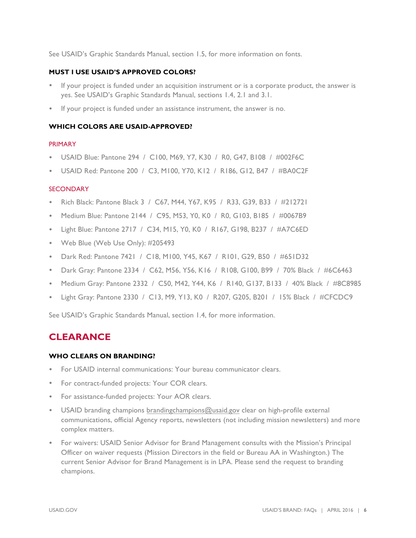See USAID's Graphic Standards Manual, section 1.5, for more information on fonts.

#### **MUST I USE USAID'S APPROVED COLORS?**

- If your project is funded under an acquisition instrument or is a corporate product, the answer is yes. See USAID's Graphic Standards Manual, sections 1.4, 2.1 and 3.1.
- If your project is funded under an assistance instrument, the answer is no.

#### **WHICH COLORS ARE USAID-APPROVED?**

#### PRIMARY

- USAID Blue: Pantone 294 / C100, M69, Y7, K30 / R0, G47, B108 / #002F6C
- USAID Red: Pantone 200 / C3, M100, Y70, K12 / R186, G12, B47 / #BA0C2F

#### **SECONDARY**

- Rich Black: Pantone Black 3 / C67, M44, Y67, K95 / R33, G39, B33 / #212721
- Medium Blue: Pantone 2144 / C95, M53, Y0, K0 / R0, G103, B185 / #0067B9
- Light Blue: Pantone 2717 / C34, M15, Y0, K0 / R167, G198, B237 / #A7C6ED
- Web Blue (Web Use Only): #205493
- Dark Red: Pantone 7421 / C18, M100, Y45, K67 / R101, G29, B50 / #651D32
- Dark Gray: Pantone 2334 / C62, M56, Y56, K16 / R108, G100, B99 / 70% Black / #6C6463
- Medium Gray: Pantone 2332 / C50, M42, Y44, K6 / R140, G137, B133 / 40% Black / #8C8985
- Light Gray: Pantone 2330 / C13, M9, Y13, K0 / R207, G205, B201 / 15% Black / #CFCDC9

See USAID's Graphic Standards Manual, section 1.4, for more information.

# **CLEARANCE**

#### **WHO CLEARS ON BRANDING?**

- For USAID internal communications: Your bureau communicator clears.
- For contract-funded projects: Your COR clears.
- For assistance-funded projects: Your AOR clears.
- USAID branding champions brandingchampions@usaid.gov clear on high-profile external communications, official Agency reports, newsletters (not including mission newsletters) and more complex matters.
- For waivers: USAID Senior Advisor for Brand Management consults with the Mission's Principal Officer on waiver requests (Mission Directors in the field or Bureau AA in Washington.) The current Senior Advisor for Brand Management is in LPA. Please send the request to branding champions.